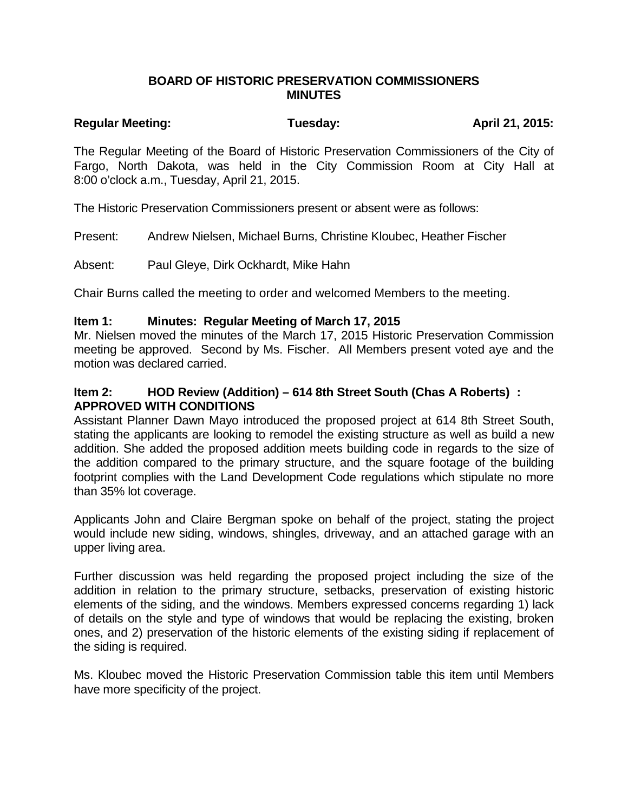### **BOARD OF HISTORIC PRESERVATION COMMISSIONERS MINUTES**

# Regular Meeting: Tuesday: Tuesday: April 21, 2015:

The Regular Meeting of the Board of Historic Preservation Commissioners of the City of Fargo, North Dakota, was held in the City Commission Room at City Hall at 8:00 o'clock a.m., Tuesday, April 21, 2015.

The Historic Preservation Commissioners present or absent were as follows:

Present: Andrew Nielsen, Michael Burns, Christine Kloubec, Heather Fischer

Absent: Paul Gleye, Dirk Ockhardt, Mike Hahn

Chair Burns called the meeting to order and welcomed Members to the meeting.

### **Item 1: Minutes: Regular Meeting of March 17, 2015**

Mr. Nielsen moved the minutes of the March 17, 2015 Historic Preservation Commission meeting be approved. Second by Ms. Fischer. All Members present voted aye and the motion was declared carried.

## **Item 2: HOD Review (Addition) – 614 8th Street South (Chas A Roberts) : APPROVED WITH CONDITIONS**

Assistant Planner Dawn Mayo introduced the proposed project at 614 8th Street South, stating the applicants are looking to remodel the existing structure as well as build a new addition. She added the proposed addition meets building code in regards to the size of the addition compared to the primary structure, and the square footage of the building footprint complies with the Land Development Code regulations which stipulate no more than 35% lot coverage.

Applicants John and Claire Bergman spoke on behalf of the project, stating the project would include new siding, windows, shingles, driveway, and an attached garage with an upper living area.

Further discussion was held regarding the proposed project including the size of the addition in relation to the primary structure, setbacks, preservation of existing historic elements of the siding, and the windows. Members expressed concerns regarding 1) lack of details on the style and type of windows that would be replacing the existing, broken ones, and 2) preservation of the historic elements of the existing siding if replacement of the siding is required.

Ms. Kloubec moved the Historic Preservation Commission table this item until Members have more specificity of the project.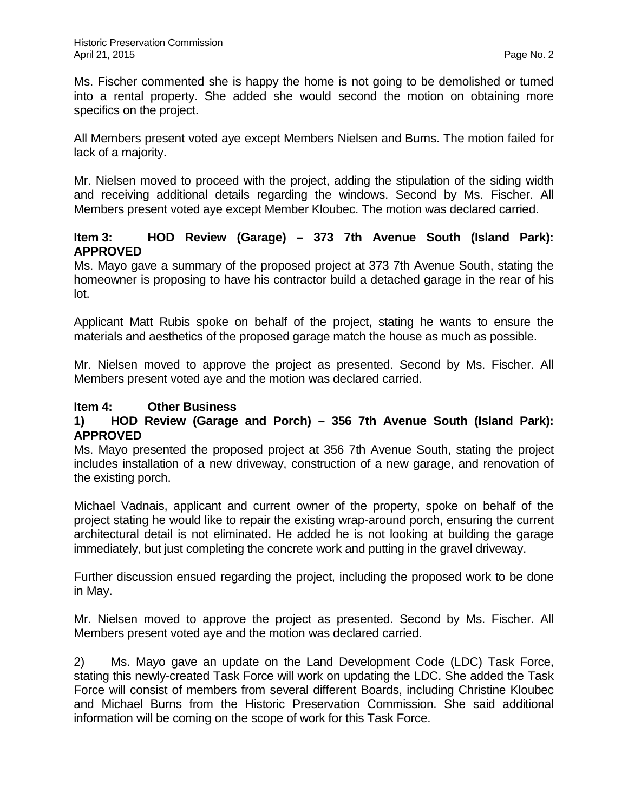Ms. Fischer commented she is happy the home is not going to be demolished or turned into a rental property. She added she would second the motion on obtaining more specifics on the project.

All Members present voted aye except Members Nielsen and Burns. The motion failed for lack of a majority.

Mr. Nielsen moved to proceed with the project, adding the stipulation of the siding width and receiving additional details regarding the windows. Second by Ms. Fischer. All Members present voted aye except Member Kloubec. The motion was declared carried.

## **Item 3: HOD Review (Garage) – 373 7th Avenue South (Island Park): APPROVED**

Ms. Mayo gave a summary of the proposed project at 373 7th Avenue South, stating the homeowner is proposing to have his contractor build a detached garage in the rear of his lot.

Applicant Matt Rubis spoke on behalf of the project, stating he wants to ensure the materials and aesthetics of the proposed garage match the house as much as possible.

Mr. Nielsen moved to approve the project as presented. Second by Ms. Fischer. All Members present voted aye and the motion was declared carried.

## **Item 4: Other Business**

## **1) HOD Review (Garage and Porch) – 356 7th Avenue South (Island Park): APPROVED**

Ms. Mayo presented the proposed project at 356 7th Avenue South, stating the project includes installation of a new driveway, construction of a new garage, and renovation of the existing porch.

Michael Vadnais, applicant and current owner of the property, spoke on behalf of the project stating he would like to repair the existing wrap-around porch, ensuring the current architectural detail is not eliminated. He added he is not looking at building the garage immediately, but just completing the concrete work and putting in the gravel driveway.

Further discussion ensued regarding the project, including the proposed work to be done in May.

Mr. Nielsen moved to approve the project as presented. Second by Ms. Fischer. All Members present voted aye and the motion was declared carried.

2) Ms. Mayo gave an update on the Land Development Code (LDC) Task Force, stating this newly-created Task Force will work on updating the LDC. She added the Task Force will consist of members from several different Boards, including Christine Kloubec and Michael Burns from the Historic Preservation Commission. She said additional information will be coming on the scope of work for this Task Force.